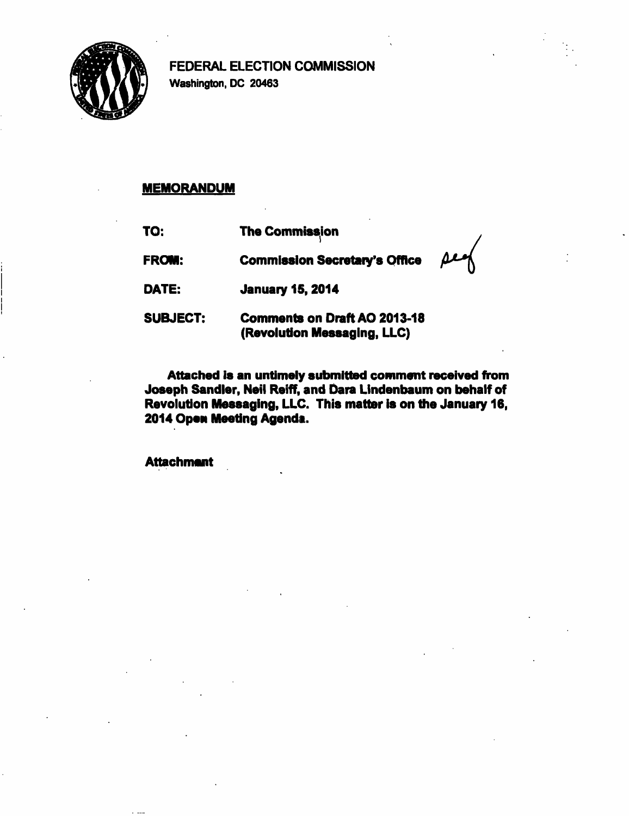

**FEDERAL ELECTION COMMISSION Washington. DC 20463** 

## **MEMORANDUM**

| TO:             | <b>The Commission</b>                                              |      |
|-----------------|--------------------------------------------------------------------|------|
| FROM:           | <b>Commission Secretary's Office</b>                               | peof |
| DATE:           | <b>January 15, 2014</b>                                            |      |
| <b>SUBJECT:</b> | <b>Comments on Draft AO 2013-18</b><br>(Revolution Messaging, LLC) |      |

**Attached is an untimeiy submitted comment received from Joseph Sandler, Neil Reiff, and Dara Lindenbaum on behalf of Revolution Messaging, LLC. This matter is on the January 16, 2014 Open Meeting Agenda.** 

**Attachment**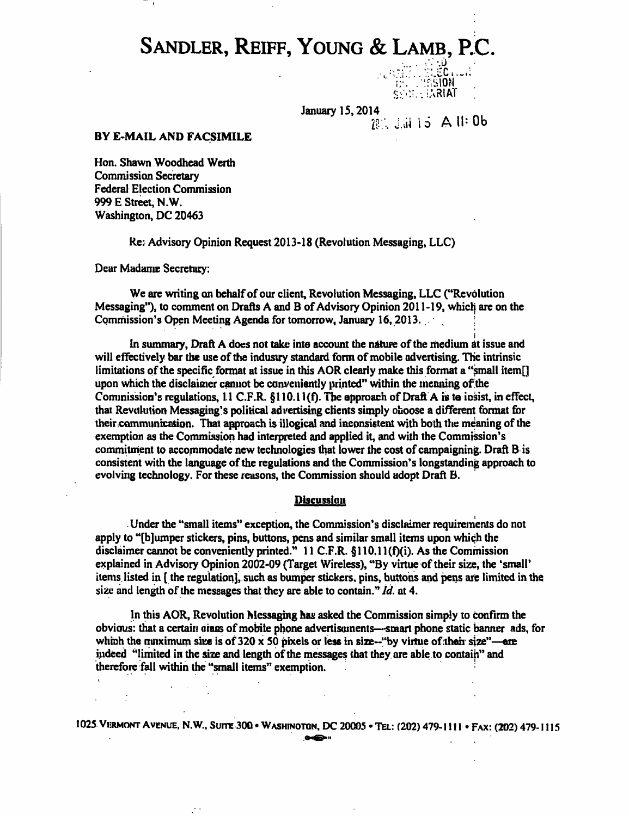# **SANDLER, REIFF, YOUNG & LAMB, P.C.**

January 15,2014

**r-. Z^\ \ -6 A 11= Ob** 

*.... -.p*  **Ji;.v;.,:;,R|AT** 

#### BY E-MAIL AND FACSIMILE

Hon. Shawn Woodhead Werth Commission Secretary Federal Election Commission 999 E Streei, N.W. Washington, OC 20463

Re: Advisory Opinion Request 2013-18 (Revoiution Messaging, LLC)

Dear Madame Secretury:

We are writing on behalf of our client. Revolution Messaging, LLC ("Revolution" Messaging"), to comment on Drafts A and B of Advisory Opinion 2011-19, which are on the Commission's Open Meeting Agenda for tomorrow, January 16,2013. ^

In summary, Draft A does not take into account the nature of the medium at issue and will effectively bar the use of the industry standard form of mobile advertising. The intrinsic limitations of the specific format at issue in this AOR clearly make this format a "small item[] upon which the disclaimer cannot be conveniently printed" within the meaning of the Commission's regulations,  $11 \text{ C.F.R. }$   $8110.11(f)$ . The approach of Draft A is to insist, in effect, that Revolution Messaging's political advertising clients simply choose a different format for their communication. That approach is illogical and inconsistent with both the meaning of the exemption as the Commission had interpreted and applied it, and with the Commission's commitment to accommodate new technologies that lower the cost of campaigning. Draft B is consistent with the language of the regulations and the Commission's longstanding approach to evolving technology. For these reasons, the Commission should adopt Draft B.

#### **Discussian**

Under the '\*small items" exception, the Commission's disclaimer requirements do not apply to "[b]umper stickers, pins, buttons, pens and similar small items upon which the disclaimer cannot be conveniently printed." 11 C.F.R. §110.1 l(f)(i). As the Commission explained in Advisory Opinion 2002-09 (Target Wireless), "By virtue of their size, the 'small' items, listed in [ the regulation], such as bumper stickers, pins, buttons and pens are limited in the size and length of the messages that they are able to contain." *Id.* at 4.

In this AOR, Revolution Messaging has asked the Commission simply to confirm the obvious: that a certain class of mobile phone advertisements—smart phone static banner ads, for which the maximum size is of  $320 \times 50$  pixels or less in size--"by virtue of their size"—are indeed "limited in the size and length of the messages that they, are able.to contain" and therefore fall within the "small items" exemption.

1025 VERMONT AVENUE, N.W., SUITE 300 · WASHINGTON, DC 20005 · TEL: (202) 479-1111 · FAX: (202) 479-1115

 $\bigoplus_{i=1}^n$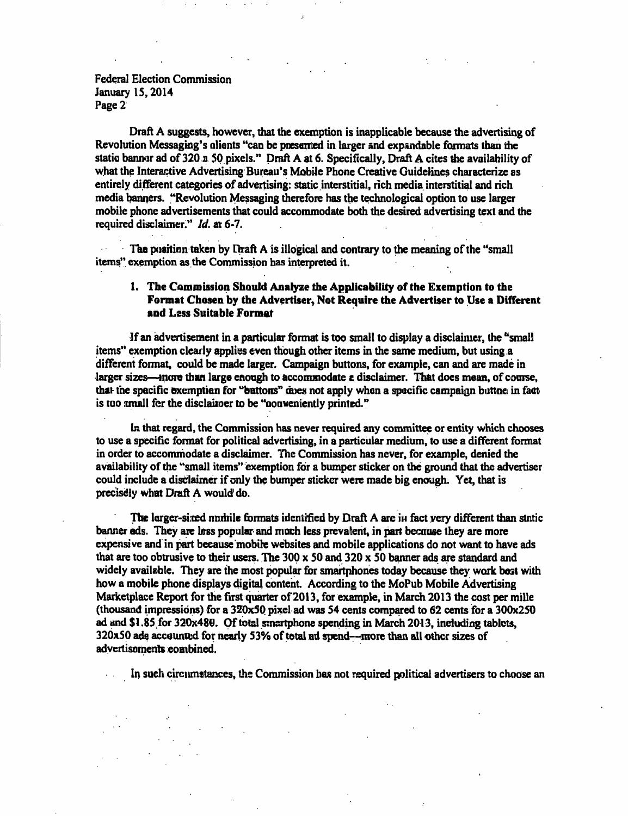### **Federal Election Commission January IS, 2014 Page 2**

**Draft A suggests, however, that the exemption is inapplicable because the advertising of Revolution Messaging's clients "can be presented in larger and expandable formats than the static banner ad of 320 x SO pixels." Draft A at 6. Specifically, Draft A cites the availability of what the Interactive Advertising Bureau's Mobile Phone Creative Guidelines characterize as entirely different categories of advertising: static interstitial, rich media interstitial and rich media banners. "Revolution Messaging therefore has the technological option to use larger mobile phone advertisements that could accommodate both the desired advertising text and the required disclaimer." Id. at 6-7.** 

The position taken by Draft A is illogical and contrary to the meaning of the "small" **items" exemption as the Commission has interpreted it.** 

## **1. The Commission Should Analyze the Applicability of the Exemption to the Fonnat Chosen by the Advertiser, Not Require the Advertiser to Use a Different and Less Suitable Format**

**If an advertisement in a particular format is too small to display a disclaimer, the "small**  items" exemption clearly appli<del>es</del> even though other items in the same medium, but using a **different format, could be made larger. Campaign buttons, for example, can and are made in larger sizes—more than large enough to accommodate a disclaimer. That does mean, of course,**  that the specific exemption for "buttons" does not apply when a specific campaign buttoe in fact **is too small for the disclaimer to be "conveniently printed."** 

**In that regard, the Conunission has never required any committee or entity which chooses to use a specific format for political advertising, in a particular medium, to use a different fonnat in order to accommodate a disclaimer. The Commission has never, for example, denied the**  availability of the "small items" exemption for a bumper sticker on the ground that the advertiser **could include a disclaimer if only the bumper sticker were made big enough. Yet, that is precisely what Draft A would do.** 

**The larger-sized mobile formats identified by Draft A are in fact very different than static banner ads. They are less popular and much less prevalerit, in part because they are more expensive and in part because mobile websites and mobile applications do not want to have ads that are too obtrusive to their users. The 300 x SO and 320 x 50 banner ads are standard and**  widely available. They are the most popular for smartphones today because they work best with **how a mobile phone displays digital content. According to the MoPub Mobile Advertising Marketplace Report for the first quarter of 2013, for example, in March 2013 the cost per mille (thousand impressions) for a 320x50 pixel ad was 54 cents compared to 62 cents for a 300x250 ad and \$1.8S /or 320x480. Of total smartphone spending in March 2013, including tablets, 320x50 ads accounted for nearly 53% of total ad spend—more than all other sizes of advertisements combined.** 

**In such circumstances, the Commission has not required political advertisers to choose an**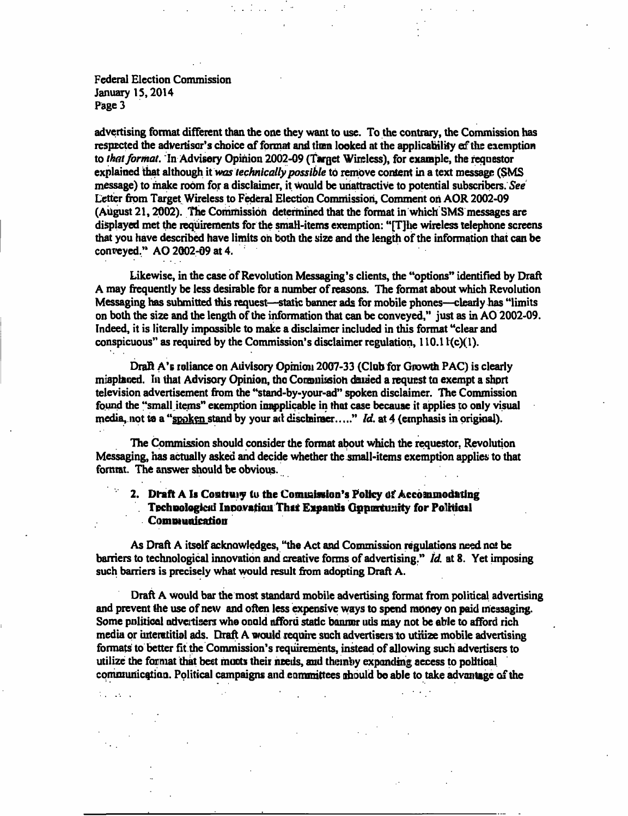## **Federal Election Commission January 15,2014 Page 3**

 $\mathcal{L}_{\text{max}}$  .

advertising format different than the one they want to use. To the contrary, the Commission has **respected the advertiser's choice of fonnat and then looked at the applicability of the exemption to that format. Tn Advisory Opinion 2002-09 (Target Wireless), for example, the requestor**  explained that although it was *technically possible* to remove content in a text message (SMS message) to make room for a disclaimer, it would be unattractive to potential subscribers. See **Letter fiom Target Wireless to Fedieral Election Commission, Comment on AOR 2002-09 (August 21,2002). The Cornmission determined that the format in which SMS messages are**  displayed met the requirements for the small-items exemption: "[T]he wireless telephone screens that you have described have limits on both the size and the length of the information that can be **conveyed," AO 2002-09 at 4.** 

**Likewise, in the case of Revolution Messaging's clients, the "options" identified by Draft A may frequently be less desirable for a number of reasons. The format about which Revolution Messaging has submitted this request—static banner ads for mobile phones—clearly has "limits on both the size and the length of the information that can be conveyed," just as in AO 2002-09. Indeed, it is literally impossible to make a disclaimer included in this format "clear and conspicuous" as required by the Commission's disclaimer regulation, 110.11(c)(1).** 

**Draft A's reliance on Advisory Opinion 2007-33 (Club for Growth PAC) is clearly misplaced. In that Advisory Opinion, the Commission denied a request to exempt a short**  television advertisement from the "stand-by-your-ad" spoken disclaimer. The Commission **found the "small items" exemption inapplicable in that case because it applies to only visual**  media, not to a "spoken stand by your ad disclaimer...." *Id.* at 4 (emphasis in original).

**The Commission should consider the fonnat about which the requestor, Revolution Messaging, has actually asked and decide whether the small-items exemption applies to that format. The answer should be obvious.** 

## **2. Draft A Is Contrary to the Commission's Policy of Accommodating . Technological Innovation That Expands Opportunity for Political Communication**

**As Draft A itself acknowledges, "the Act and Commission regulations need not be barriers to technological irmovation and creative forms of advertising." Id. at 8. Yet imposing**  such barriers is precisely what would result from adopting Draft A.

**Draft A would bar the most standard mobile advertising format from political advertising**  and prevent the use of new and often less expensive ways to spend money on paid messaging. Some political advertisers who onuld afforu static banner ads may not be able to afford rich **media or interstitial ads. Draft A would require such advertisers to utilize mobile advertising**  formats to better fit the Commission's requirements, instead of allowing such advertisers to utilize the format that best moots their needs, and themby expanding access to political communication. Political campaigns and enmittees should be able to take advantage of the